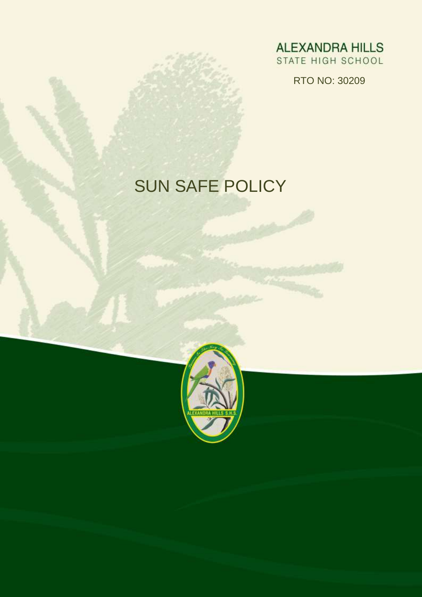**ALEXANDRA HILLS** STATE HIGH SCHOOL

RTO NO: 30209

# SUN SAFE POLICY

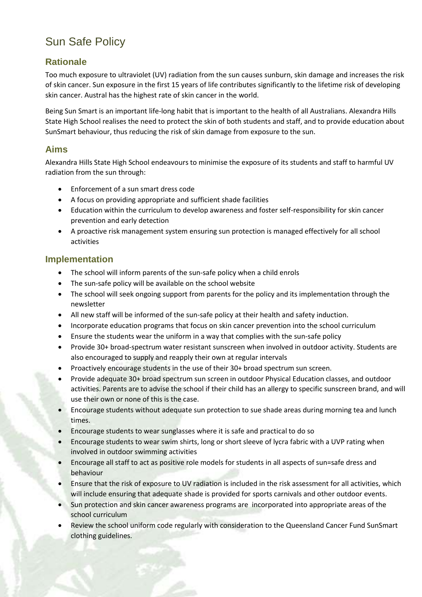# Sun Safe Policy

## **Rationale**

Too much exposure to ultraviolet (UV) radiation from the sun causes sunburn, skin damage and increases the risk of skin cancer. Sun exposure in the first 15 years of life contributes significantly to the lifetime risk of developing skin cancer. Austral has the highest rate of skin cancer in the world.

Being Sun Smart is an important life-long habit that is important to the health of all Australians. Alexandra Hills State High School realises the need to protect the skin of both students and staff, and to provide education about SunSmart behaviour, thus reducing the risk of skin damage from exposure to the sun.

#### **Aims**

Alexandra Hills State High School endeavours to minimise the exposure of its students and staff to harmful UV radiation from the sun through:

- Enforcement of a sun smart dress code
- A focus on providing appropriate and sufficient shade facilities
- Education within the curriculum to develop awareness and foster self-responsibility for skin cancer prevention and early detection
- A proactive risk management system ensuring sun protection is managed effectively for all school activities

#### **Implementation**

- The school will inform parents of the sun-safe policy when a child enrols
- The sun-safe policy will be available on the school website
- The school will seek ongoing support from parents for the policy and its implementation through the newsletter
- All new staff will be informed of the sun-safe policy at their health and safety induction.
- Incorporate education programs that focus on skin cancer prevention into the school curriculum
- Ensure the students wear the uniform in a way that complies with the sun-safe policy
- Provide 30+ broad-spectrum water resistant sunscreen when involved in outdoor activity. Students are also encouraged to supply and reapply their own at regular intervals
- Proactively encourage students in the use of their 30+ broad spectrum sun screen.
- Provide adequate 30+ broad spectrum sun screen in outdoor Physical Education classes, and outdoor activities. Parents are to advise the school if their child has an allergy to specific sunscreen brand, and will use their own or none of this is the case.
- Encourage students without adequate sun protection to sue shade areas during morning tea and lunch times.
- Encourage students to wear sunglasses where it is safe and practical to do so
- Encourage students to wear swim shirts, long or short sleeve of lycra fabric with a UVP rating when involved in outdoor swimming activities
- Encourage all staff to act as positive role models for students in all aspects of sun=safe dress and behaviour
- Ensure that the risk of exposure to UV radiation is included in the risk assessment for all activities, which will include ensuring that adequate shade is provided for sports carnivals and other outdoor events.
- Sun protection and skin cancer awareness programs are incorporated into appropriate areas of the school curriculum
- Review the school uniform code regularly with consideration to the Queensland Cancer Fund SunSmart clothing guidelines.